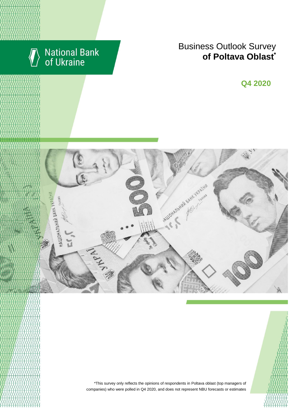

# National Bank<br>of Ukraine

## Business Outlook Survey enterprises managers regarding their **of Poltava Oblast\***

**Q2 2018 Q4 2020**





\*This survey only reflects the opinions of respondents in Poltava oblast (top managers of companies) who were polled in Q4 2020, and does not represent NBU forecasts or estimates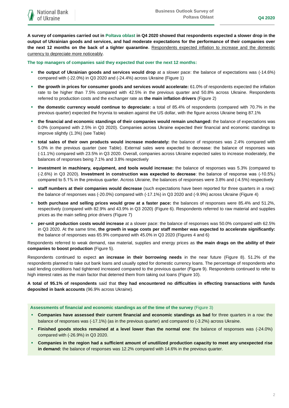**A survey of companies carried out in Poltava oblast in Q4 2020 showed that respondents expected a slower drop in the output of Ukrainian goods and services, and had moderate expectations for the performance of their companies over the next 12 months on the back of a tighter quarantine.** Respondents expected inflation to increase and the domestic currency to depreciate more noticeably.

**The top managers of companies said they expected that over the next 12 months:**

- **the output of Ukrainian goods and services would drop** at a slower pace: the balance of expectations was (-14.6%) compared with (-22.0%) in Q3 2020 and (-24.4%) across Ukraine (Figure 1)
- **the growth in prices for consumer goods and services would accelerate:** 61.0% of respondents expected the inflation rate to be higher than 7.5% compared with 42.5% in the previous quarter and 50.8% across Ukraine. Respondents referred to production costs and the exchanger rate as **the main inflation drivers** (Figure 2)
- **the domestic currency would continue to depreciate:** a total of 85.4% of respondents (compared with 70.7% in the previous quarter) expected the hryvnia to weaken against the US dollar, with the figure across Ukraine being 87.1%
- **the financial and economic standings of their companies would remain unchanged:** the balance of expectations was 0.0% (compared with 2.5% in Q3 2020). Сompanies across Ukraine expected their financial and economic standings to improve slightly (1.3%) (see Table)
- **total sales of their own products would increase moderately:** the balance of responses was 2.4% compared with 5.0% in the previous quarter (see Table). External sales were expected to decrease: the balance of responses was (-11.1%) compared with 23.5% in Q3 2020. Overall, companies across Ukraine expected sales to increase moderately, the balances of responses being 7.1% and 3.8% respectively
- **investment in machinery, equipment, and tools would increase:** the balance of responses was 5.3% (compared to (-2.6%) in Q3 2020). **Investment in construction was expected to decrease**: the balance of response was (-10.5%) compared to 5.1% in the previous quarter. Across Ukraine, the balances of responses were 3.8% and (-4.5%) respectively
- **staff numbers at their companies would decrease** (such expectations have been reported for three quarters in a row): the balance of responses was (-20.0%) compared with (-17.1%) in Q3 2020 and (-9.9%) across Ukraine (Figure 4)
- **both purchase and selling prices would grow at a faster pace:** the balances of responses were 85.4% and 51.2%, respectively (compared with 82.9% and 43.9% in Q3 2020) (Figure 6). Respondents referred to raw material and supplies prices as the main selling price drivers (Figure 7)
- **per-unit production costs would increase** at a slower pace: the balance of responses was 50.0% compared with 62.5% in Q3 2020. At the same time, **the growth in wage costs per staff member was expected to accelerate significantly:**  the balance of responses was 65.9% compared with 45.0% in Q3 2020 (Figures 4 and 6)

Respondents referred to weak demand, raw material, supplies and energy prices as **the main drags on the ability of their companies to boost production** (Figure 5).

Respondents continued to expect **an increase in their borrowing needs** in the near future (Figure 8). 51.2% of the respondents planned to take out bank loans and usually opted for domestic currency loans. The percentage of respondents who said lending conditions had tightened increased compared to the previous quarter (Figure 9). Respondents continued to refer to high interest rates as the main factor that deterred them from taking out loans (Figure 10).

**A total of 95.1% of respondents** said that **they had encountered no difficulties in effecting transactions with funds deposited in bank accounts** (96.9% across Ukraine).

#### **Assessments of financial and economic standings as of the time of the survey** (Figure 3)

- **Companies have assessed their current financial and economic standings as bad** for three quarters in a row: the balance of responses was (-17.1%) (as in the previous quarter) and compared to (-3.2%) across Ukraine.
- **Finished goods stocks remained at a level lower than the normal one**: the balance of responses was (-24.0%) compared with (-26.9%) in Q3 2020.
- **Companies in the region had a sufficient amount of unutilized production capacity to meet any unexpected rise in demand:** the balance of responses was 12.2% compared with 14.6% in the previous quarter.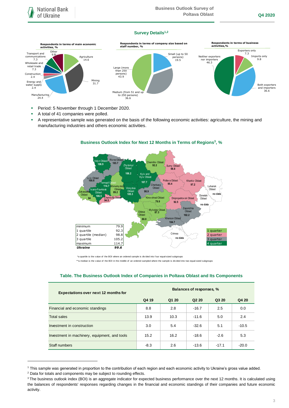### **Survey Details1,2**



- **Period: 5 November through 1 December 2020.**
- A total of 41 companies were polled.
- A representative sample was generated on the basis of the following economic activities: agriculture, the mining and manufacturing industries and others economic activities.



## **Business Outlook Index for Next 12 Months in Terms of Regions<sup>3</sup> , %**

| <b>Expectations over next 12 months for</b>   | Balances of responses, % |       |                   |         |         |
|-----------------------------------------------|--------------------------|-------|-------------------|---------|---------|
|                                               | Q4 19                    | Q1 20 | Q <sub>2</sub> 20 | Q3 20   | Q4 20   |
| Financial and economic standings              | 8.8                      | 2.8   | $-16.7$           | 2.5     | 0.0     |
| <b>Total sales</b>                            | 13.9                     | 10.3  | $-11.6$           | 5.0     | 2.4     |
| Investment in construction                    | 3.0                      | 5.4   | $-32.6$           | 5.1     | $-10.5$ |
| Investment in machinery, equipment, and tools | 15.2                     | 16.2  | $-18.6$           | $-2.6$  | 5.3     |
| Staff numbers                                 | $-8.3$                   | 2.6   | $-13.6$           | $-17.1$ | $-20.0$ |

#### **Table. The Business Outlook Index of Companies in Poltava Oblast and Its Components**

1

<sup>1</sup> This sample was generated in proportion to the contribution of each region and each economic activity to Ukraine's gross value added.

<sup>2</sup> Data for totals and components may be subject to rounding effects.

<sup>&</sup>lt;sup>3</sup> The business outlook index (BOI) is an aggregate indicator for expected business performance over the next 12 months. It is calculated using the balances of respondents' responses regarding changes in the financial and economic standings of their companies and future economic activity.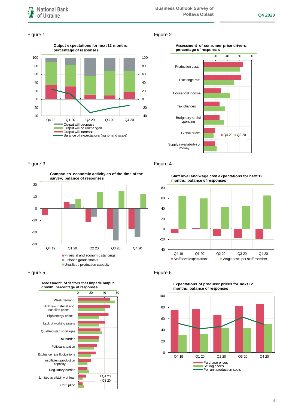#### Figure 1 Figure 2







-30 -20 -10 0 10 20 Q4 19 Q1 20 Q2 20 Q3 20 Q4 20 **Companies' economic activity as of the time of the survey, balance of responses** Financial and economic standings Finished goods stocks **Unutilized production capacity** 

## Figure 5 **Figure 6**



### Figure 3 Figure 4

**Staff level and wage cost expectations for next 12 months, balance of responses**





#### **Expectations of producer prices for next 12 months, balance of responses**